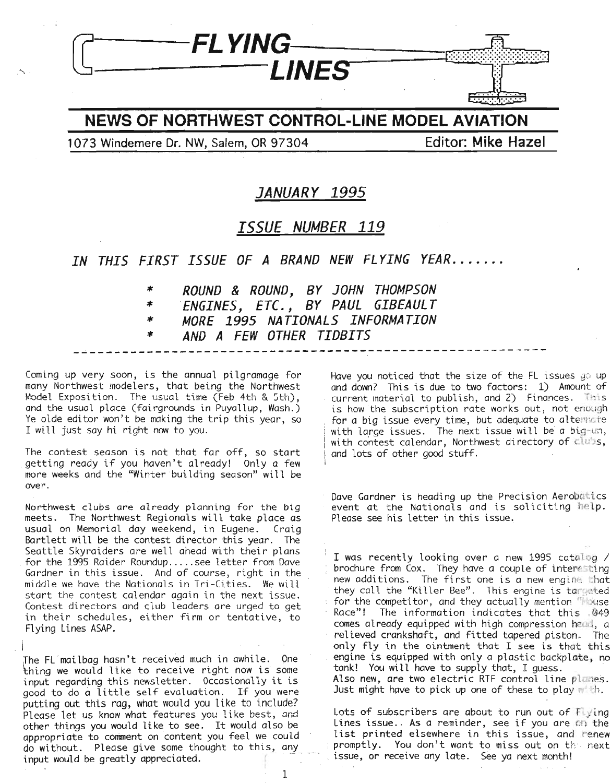

**NEWS OF NORTHWEST CONTROL-LINE MODEL AVIATION**

**1073 Windemere Dr. NW, Salem, OR 97304 Editor: Mike Hazel**

## **JANUARY 1995**

### **ISSUE NUMBER 119**

#### *IN THIS FIRST ISSUE OF A BRAND NEW FL YING yEAR .*

**\*** *ROUND* **&** *ROUND, BY JOHN THOMPSON*

**\*** *ENGINES, ETC., BY PAUL GIBEAUL T*

**\*** *MORE* **1995** *NA TIONALS INFORMATION*

**\*** *AND A FEW OTHER TIDBITS* **----------------------------------------------------------**

Coming up very soon, is the annual pilgramage for many Northwest modelers, that being the Northwest Model Exposition. The usual time (Feb 4th & 5th), and the usual place (fairgrounds in Puyallup, Wash.) Ye olde editor won't be making the trip this year, so I will just say hi right now to you.

The contest season is not that far off, so start getting ready if you haven't already! Only <sup>a</sup> few more weeks and the "Winter building season" will be over.

Northwest clubs are already planning for the big meets. The Northwest Regionals will take place as usual on Memorial day weekend, in Eugene. Craig Bartlett will be the contest director this year. The Seattle Skyraiders are well ahead with their plans for the <sup>1995</sup> Raider Roundup .....see letter from Dave Gardner in this issue. And of course, right in the middle we have the Nationals in Tri-Cities. We will start the contest calendar again in the next issue. Contest directors and club leaders are urged to get in their schedules, either firm or tentative, to Flying Lines ASAP.

 $\mathfrak l$ Jhe FL-mailbag hasn't received much in awhile. One thing we would like to receive right now is some input regarding this newsletter. Occasionally it is good to do a little self evaluation. If you were putting out this rag, what would you like to include? Please let us know what features you like best, and other things you would like to see. It would also be appropriate to comment on content you feel we could do without. Please give some thought to this, any input would be greatly appreciated. Have you noticed that the size of the FL issues go up and down? This is due to two factors: 1) Amount of  $current$  material to publish, and  $2)$  Finances. This is how the subscription rate works out, not enough for a big issue every time, but adequate to alternate with large issues. The next issue will be a big-un, with contest calendar, Northwest directory of clubs, and lots of other good stuff.

Dave Gardner is heading up the Precision Aerobatics event at the Nationals and is soliciting help. Please see his letter in this issue,

I was recently looking over a new 1995 catalog / brochure from Cox. They have a couple of interesting new additions. The first one is a new engine that they call the "Killer Bee". This engine is targeted for the competitor, and they actually mention *House* Race"! The information indicates that this 049 comes already equipped with high compression head, a relieved crankshaft, and fitted tapered piston\_ The only fly in the ointment that I see is that this engine is equipped with only a plastic backplate, no<br>tank! You will have to supply that, I guess. Also new, are two electric RTF control line planes. Just might have to pick up one of these to play with.

Lots of subscribers are about to run out of  $Flying$ Lines issue. As a reminder, see if you are on the list printed elsewhere in this issue, and renew promptly. You don't want to miss out on the next issue, or receive any late. See ya next month!

I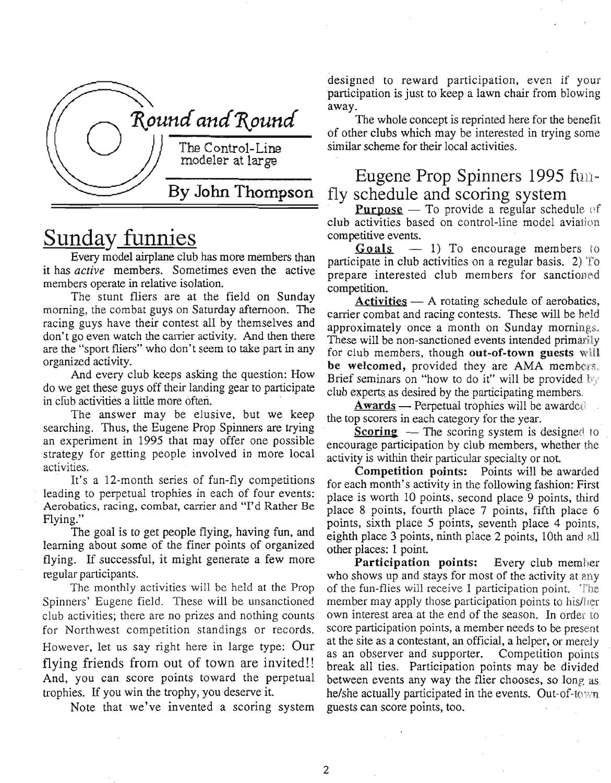

## Sunday funnies

Every model airplane club has more members than it has *active* members. Sometimes even the active members operate in relative isolation.

The stunt fliers are at the field on Sunday morning, the combat guys on Saturday afternoon. The racing guys have their contest all by themselves and don't go even watch the carrier activity. And then there are the "sport fliers" who don't seem to take part in any organized activity.

And every club keeps asking the question: How do we get these guys off their landing gear to participate in club activities a little more often.

The answer may be elusive, but we keep searching. Thus, the Eugene Prop Spinners are trying an experiment in 1995 that may offer one possible strategy for getting people involved in more local activities.

It's a 12-month series of fun-fly competitions leading to perpetual trophies in each of four events: Aerobatics, racing, combat, carrier and "I'd Rather Be Flying."

The goal is to get people flying, having fun, and learning about some of the finer points of organized flying. If successful, it might generate a few more regular participants.

The monthly activities will be held at the Prop Spinners' Eugene field. These will be unsanctioned club activities; there are no prizes and nothing counts for Northwest competition standings or records. However, let us say right here in large type: Our flying friends from out of town are invited!! And, you can score points toward the perpetual trophies. If you win the trophy, you deserve it.

Note that we've invented a scoring system

designed to reward participation, even if your participation is just to keep a lawn chair from blowing away.

The whole concept is reprinted here for the benefit of other clubs which may be interested in trying some similar scheme for their local activities.

## Eugene Prop Spinners 1995  $f_{\text{UII}}$ fly schedule and scoring system

**Purpose** - To provide a regular schedule of club activities based on control-line model aviation competitive events.

 $\frac{G \text{ o} \cdot \text{ a}}{G \text{ o} \cdot \text{ a}}$   $-1$ ) To encourage members to participate in club activities on a regular basis. 2) To prepare interested club members for sanctioned competition.

 $\text{Activity} - \text{A rotating schedule of aerobatics},$ carrier combat and racing contests. These will be held approximately once a month on Sunday mornings. These will be non-sanctioned events intended primarily for club members, though out-of-town guests will be welcomed, provided they are AMA members. Brief seminars on "how to do it" will be provided by club experts as desired by the participating members.

 $Awards$  - Perpetual trophies will be awarded the top scorers in each category for the year.

**Scoring**  $-$  The scoring system is designed to encourage participation by club members, whether the activity is within their particular specialty or not

Competition points: Points will be awarded for each month's activity in the following fashion: First place is worth 10 points, second place 9 points, third place 8 points, fourth place 7 points, fifth place 6 points, sixth place 5 points, seventh place 4 points, eighth place  $3$  points, ninth place  $2$  points,  $10th$  and  $all$ other places: 1 point.

Participation points: Every club member who shows up and stays for most of the activity at any of the fun-flies will receive 1 participation point. The member may apply those participation points to his/her own interest area at the end of the season. In order to score participation points, a member needs to be present at the site as a contestant, an official, a helper, or merely as an observer and supporter. Competition points break all ties. Participation points may be divided between events any way the flier chooses, so long as he/she actually participated in the events. Out-of-town guests can score points, too.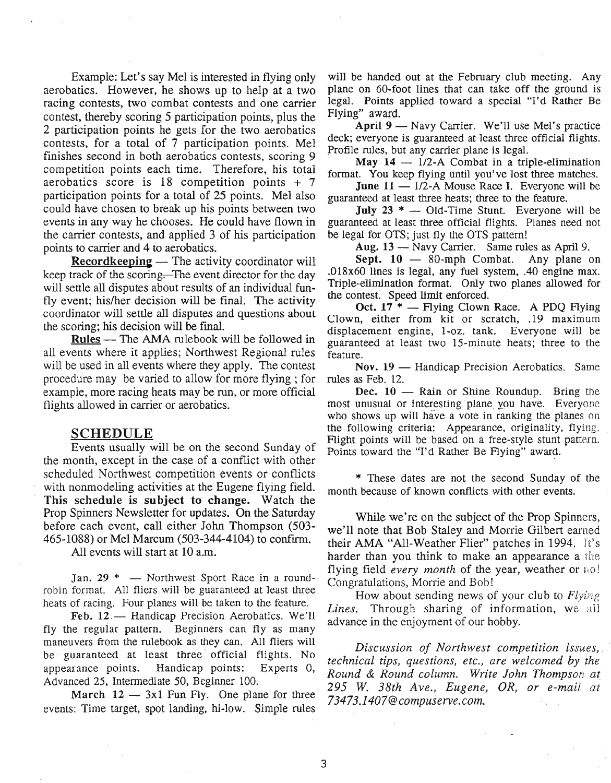Example: Let's say Mel is interested in flying only aerobatics. However, he shows up to help at a two racing contests, two combat contests and one carrier contest, thereby scoring 5 participation points, plus the 2 participation points he gets for the two aerobatics contests, for a total of 7 participation points. Mel finishes second in both aerobatics contests, scoring 9 competition points each time. Therefore, his total aerobatics score is  $18$  competition points  $+ 7$ participation points for a total of 25 points. Mel also could have chosen to break up his points between two events in any way he chooses. He could have flown in the carrier contests, and applied 3 of his participation points to carrier and 4 to aerobatics.

Recordkeeping - The activity coordinator will keep track of the scoring. The event director for the day will settle all disputes about results of an individual funfly event; his/her decision will be final. The activity coordinator will settle all disputes and questions about the scoring; his decision will be fmal.

Rules - The AMA rulebook will be followed in all events where it applies; Northwest Regional rules will be used in all events where they apply. The contest procedure may be varied to allow for more flying; for example, more racing heats may be run, or more official flights allowed in carrier or aerobatics.

#### SCHEDULE

Events usually will be on the second Sunday of the month, except in the case of a conflict with other scheduled Northwest competition events or conflicts with nonmodeling activities at the Eugene flying field. This schedule is subject to change. Watch the Prop Spinners Newsletter for updates, On the Saturday before each event, call either John Thompson (503- 465-1088) or Mel Marcum (503-344-4104) to confirm.

All events will start at 10 a.m.

Jan.  $29 * -$  Northwest Sport Race in a roundrobin format. All fliers will be guaranteed at least three heats of racing. Four planes will be taken to the feature.

Feb.  $12 -$  Handicap Precision Aerobatics. We'll fly the regular pattern. Beginners can fly as many maneuvers from the rulebook as they can. All fliers will be guaranteed at least three official flights. No appearance points. Handicap points: Experts 0, Advanced 25, Intermediate 50, Beginner 100.

March  $12 - 3x1$  Fun Fly. One plane for three events: Time target, spot landing, hi-low. Simple rules

will be handed out at the February club meeting. Any plane on 60-foot lines that can take off the ground is legal. Points applied toward a special "1'd Rather Be Flying" award.

April 9 - Navy Carrier. We'll use Mel's practice deck; everyone is guaranteed at least three official flights. Profile rules, but any carrier plane is legal.

May  $14 - 1/2$ -A Combat in a triple-elimination format. You keep flying until you've lost three matches.

**June 11**  $-$  1/2-A Mouse Race I. Everyone will be guaranteed at least three heats; three to the feature.

July  $23$  \* - Old-Time Stunt. Everyone will be guaranteed at least three official flights. Planes need not be legal for OTS; just fly the OTS pattern!

Aug. 13 - Navy Carrier. Same rules as April 9.

Sept.  $10 - 80$ -mph Combat. Any plane on .018x60 lines is legal, any fuel system, .40 engine max. Triple-elimination format. Only two planes allowed for the contest. Speed limit enforced.

Oct.  $17^*$  — Flying Clown Race. A PDQ Flying Clown, either from kit or scratch, .19 maximum displacement engine, I-oz. tank. Everyone will be guaranteed at least two 15-minute heats; three to the feature.

Nov.  $19$  — Handicap Precision Aerobatics. Same rules as Feb. 12.

Dec.  $10$  - Rain or Shine Roundup. Bring the most unusual or interesting plane you have. Everyone who shows up will have a vote in ranking the planes on the following criteria: Appearance, originality, flying. Flight points will be based on a free-style stunt pattern. Points toward the "I'd Rather Be Flying" award.

\* These dates are not the second Sunday of the month because of known conflicts with other events.

While we're on the subject of the Prop Spinners, we'll note that Bob Staley and Morrie Gilbert earned their AMA "All-Weather Flier" patches in 1994. It's harder than you think to make an appearance a the flying field *every month* of the year, weather or no! Congratulations, Morrie and Bob!

How about sending news of your club to  $Flying$ *Lines.* Through sharing of information, we all advance in the enjoyment of our hobby.

*Discussion of Northwest competition issues, technical tips, questions, etc., are welcomed by the Round* & *Round column. Write John Thompson at 295 W. 38th Ave., Eugene, OR, or e-mail at 73473.1407@compuserve.com.*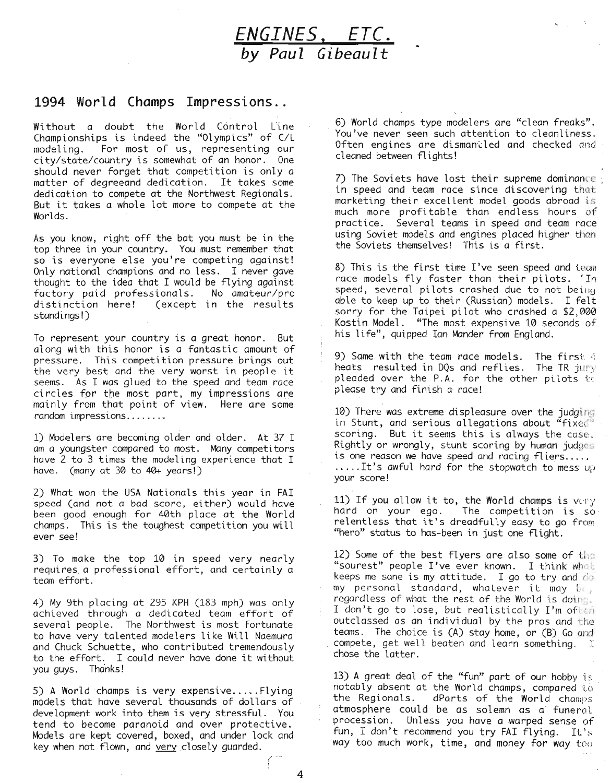

#### **1994 World Champs Impressi.ons ..**

Without a doubt the World Control line Championships is indeed the "Olympics" of C/l modeling. For most of us, representing our<br>city/state/country is somewhat of an honor. One city/state/country is somewhat of an honor. should never forget that competition is only a matter of degreeand dedication. It takes some dedication to compete at the Northwest Regionals. But it takes <sup>a</sup> whole lot more to compete at the Worlds.

As you know, right off the bat you must be in the top three in your country. You must remember that so is everyone else you're competing against! Only national champions and no less. I never gave thought to the idea that I would be flying against factory paid professionals. No amateur/pro (except in the results standings!)

To represent your country is a great honor. But along with this honor is a fantastic amount of pressure. This competition pressure brings out the very best and the very worst in people it seems. As I was glued to the speed and team race circles for the most part, my impressions are mainly from that point of view. Here are some random impressions.......•

1) Modelers are becoming older and older. At 37 I am a youngster compared to most. Many competitors have 2 to 3 times the modeling experience that I have. (many at 30 to 40+ years!)

2) What won the USA Nationals this year in FAI speed (and not a bad score, either) would have been good enough for 40th place at the World champs. This is the toughest competition you will ever see!

3) To make the top 10 in speed very nearly requires a professional effort, and certainly a team effort. '

4) My 9th placing at 295 KPH (183 mph) was only achieved through a dedicated team effort of several people. The Northwest is most fortunate to have very talented modelers like Will Naemura and Chuck Schuette, who contributed tremendously to the effort. I could never have done it without you guys. Thanks!

5) A World champs is very expensive.....Flying models that have several thousands of dollars of development work into them is very stressful. You tend to become paranoid and over protective. Models are kept covered, boxed, and under lock and key when not flown, and very closely guarded.

6) World champs type modelers are "clean freaks". You've never seen such attention to cleanliness. Often engines are dismantled and checked and cleaned between flights!

7) The Soviets have lost their supreme dominance; in speed and team race since discovering that marketing their excellent model goods abroad is much more profitable than endless hours of practice. Several teams in speed and team race using Soviet models and engines placed higher thon the Soviets themselves! This is a first.

8) This is the first time  $I$ 've seen speed and team race models fly faster than their pilots. 'In speed, several pilots crashed due to not being able to keep up to their (Russian) models. I felt sorry for the Taipei pilot who crashed a \$2,000 Kostin Model. "The most expensive 10 seconds of his life", quipped Ian Mander from England.

9) Same with the team race models. The first 4 heats resulted in DQs and reflies. The TR jury pleaded over the P.A. for the other pilots to please try and finish a race!

 $10)$  There was extreme displeasure over the judging in Stunt, and serious allegations about "fixed" scoring. But it seems this is always the case. Rightly or wrongly, stunt scoring by human judges is one reason we have speed and racing fliers.....<br>....It's awful hard for the stopwatch to mess up your score!

11) If you allow it to, the World champs is very hard on your ego. The competition is so relentless that it's dreadfully easy to go from "hero" status to has-been in just one flight.

12) Some of the best flyers are also some of the "sourest" people I've ever known. I think what keeps me sane is my attitude. I go to try and  $d\sigma$ my personal standard, whatever it may be, regardless of what the rest of the World is doing.<br>I don't go to lose, but realistically I'm often outclassed as an individual by the pros and the teams. The choice is (A) stay home, or (B) Go and compete, get well beaten and learn something.  $\mathbb I$ chose the latter.

13) A great deal of the "fun" part of our hobby is notably absent at the World champs, compared to the Regionals. dParts of the World champs atmosphere could be as solemn as a' funeral procession. Unless you have a warped sense of fun, I don't recommend you try FAI flying. It's way too much work, time, and money for way too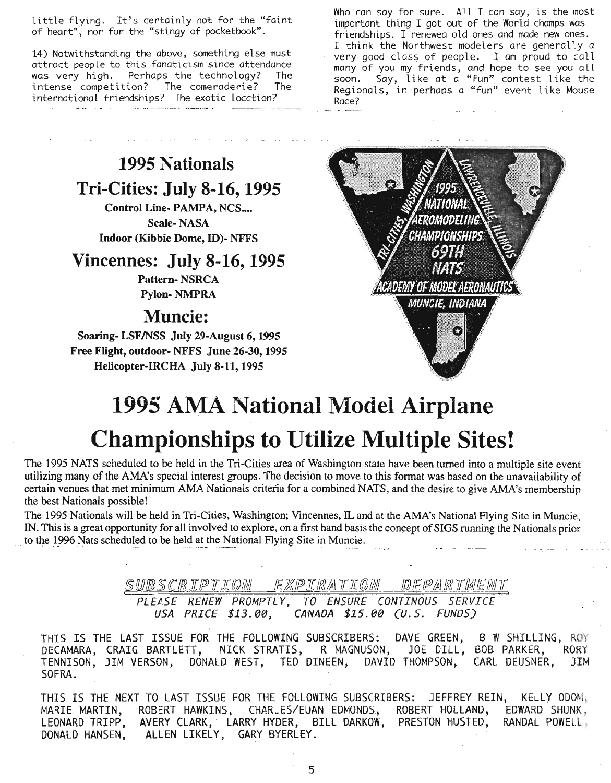little flying. It's certainly not for the "faint of heart", nor for the "stingy of pocketbook".

14) Notwithstanding the above, something else must attract people to this fanaticism since attendance was very high. Perhaps the technology? The intense competition? The comeraderie? The international friendships? The exotic location?

Who can say for sure. All I can say, is the most important thing I got out of the World champs was friendships. I renewed old ones and made new ones. I think the Northwest modelers are generally a very good class of people. I am proud to call many of you my friends, and hope to see you all soon. Say, like at a "fun" contest like the Regionals, in perhaps a "fun" event like Mouse Race?

# **1995 Nationals Tri-Cities: July 8-16, 1995**

Control Line- PAMPA, NCS.... Scale- NASA Indoor (Kibbie Dome, ID)- NFFS

## **Vincennes: July 8-16, 1995**

Pattern- NSRCA Pylon- NMPRA

## **Muncie:**

Soaring- LSFINSS July 29-August 6, 1995 Free Flight, outdoor- NFFS June 26-30, 1995 Helicopter-ffiCHA July 8-11,1995



# **1995 AMA** National Model Airplane **Championships to Utilize Multiple Sites!**

The 1995 NATS scheduled to be held in the Tri-Cities area of Washington state have been turned into a multiple site event utilizing many of the AMA's special interest groups. The decision to move to this format was based on the unavailability of certain venues that met minimum AMA Nationals criteria for a combined NATS, and the desire to give AMA's membership the best Nationals possible!

The 1995 Nationals will be held in Tri-Cities, Washington; Vincennes, IL and at the AMA's National Flying Site in Muncie, IN. This is a great opportunity for all involved to explore, on a first hand basis the concept of SIGS running the Nationals prior to the 1996 Nats scheduled to be held at the National Flying Site in Muncie.

SUBSCRIPTION EXPIRATION DEPARTMENT

*PLEASE RENEW PROMPTL* Y, *TO ENSURE CONTINOUS SERVICE USA PRICE* \$13.00, *CANADA* \$15.00 CU. *S. FUNDS)*

B W SHILLING, ROY JOE DILL, BOB PARKER, RORY CARL DEUSNER, JIM THIS IS THE LAST ISSUE FOR THE FOLLOWING SUBSCRIBERS: DAVE GREEN, DECAMARA, CRAIG BARTLETT, NICK STRATIS, R MAGNUSON, TENNISON, JIM VERSON, DONALD WEST, TED DINEEN, DAVID THOMPSON, SOFRA.

THIS IS THE NEXT TO LAST ISSUE FOR THE FOLLOWING SUBSCRIBERS: JEFFREY REIN, KELLY ODOM, MARIE MARTIN, ROBERT HAWKINS, CHARLES/EUAN EDMONDS, ROBERT HOLLAND, EDWARD SHUNK., LEONARD TRIPP, AVERY CLARK, LARRY HYDER, BILL DARKOW, PRESTON HUSTED, RANDAL POWELL, DONALD HANSEN, ALLEN LIKELY, GARY BYERLEY.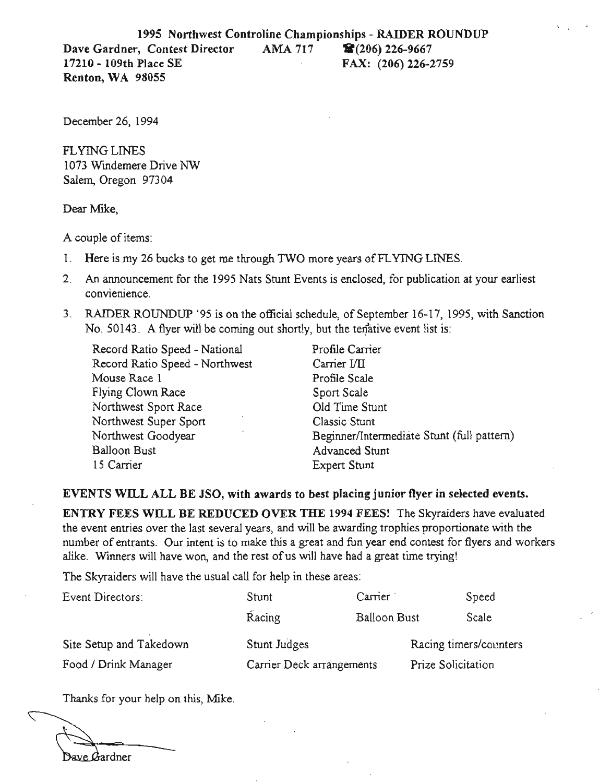December 26, 1994

FLYING LINES 1073 Windemere Drive NW Salem, Oregon 97304

Dear Mike,

A couple of items:

- 1. Here is my 26 bucks to get me through TWO more years of FLYING LINES.
- 2. An announcement for the 1995 Nats Stunt Events is enclosed, for publication at your earliest convienience.
- 3. RAIDER ROUNDUP '95 is on the official schedule, of September 16-17, 1995, with Sanction No. 50143. A flyer will be coming out shortly, but the tenative event list is:

Record Ratio Speed - National Profile Carrier Record Ratio Speed - Northwest Carrier VII Mouse Race 1 Profile Scale Flying Clown Race Sport Scale Northwest Sport Race **Old Time Stunt** Northwest Super Sport Classic Stunt Balloon Bust Advanced Stunt 15 Carrier Expert Stunt

Northwest Goodyear Beginner/Intermediate Stunt (full pattern)

#### EVENTS WILL ALL BE JSO, with awards to best placing junior flyer in selected events.

ENTRY FEES WILL BE REDUCED OVER THE 1994 FEES! The Skyraiders have evaluated the event entries over the last several years, and will be awarding trophies proportionate with the number of entrants. Our intent is to make this a great and fun year end contest for flyers and workers alike. Winners will have won, and the rest of us will have had a great time trying!

The Skyraiders will have the usual call for help in these areas:

| Event Directors:        | Stunt                     | Carrier             |                        | Speed |
|-------------------------|---------------------------|---------------------|------------------------|-------|
|                         | Racing                    | <b>Balloon Bust</b> |                        | Scale |
| Site Setup and Takedown | Stunt Judges              |                     | Racing timers/counters |       |
| Food / Drink Manager    | Carrier Deck arrangements |                     | Prize Solicitation     |       |

Thanks for your help on this, Mike.

Bave Bardner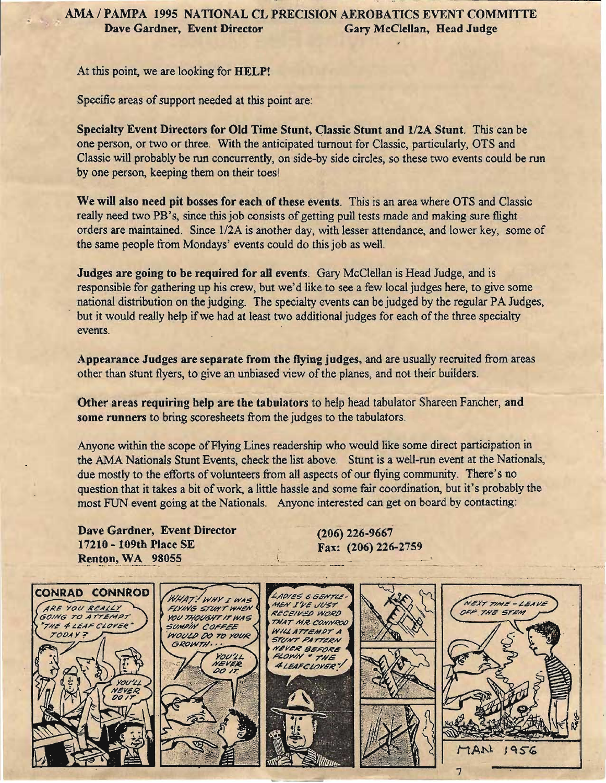At this point, we are looking for HELP!

Specific areas of support needed at this point are:

Specialty Event Directors for Old Time Stunt, Classic Stunt and 1/2A Stunt. This can be one person, or two or three. With the anticipated turnout for Classic, particularly, OTS and Classic will probably be run concurrently, on side-by side circles, so these two events could be run by one person, keeping them on their toes!

We will also need pit bosses for each of these events. This is an area where OTS and Classic really need two PB's, since this job consists of getting pull tests made and making sure flight orders are maintained. Since 1/2A is another day, with lesser attendance, and lower key, some of the same people from Mondays' events could do this job as well.

Judges are going to be required for all events. Gary McClellan is Head Judge, and is responsible for gathering up his crew, but we'd like to see a few local judges here, to give some national distribution on the judging. The specialty events can be judged by the regular PA Judges, but it would really help if we had at least two additional judges for each of the three specialty events.

Appearance Judges are separate from the flying judges, and are usually recruited from areas other than stunt flyers, to give an unbiased view of the planes, and not their builders.

Other areas requiring help are the tabulators to help head tabulator Shareen Fancher, and some runners to bring scoresheets from the judges to the tabulators.

Anyone within the scope of Flying Lines readership who would like some direct participation in the AMA Nationals Stunt Events, check the list above. Stunt is a well-run event at the Nationals, due mostly to the efforts of volunteers from all aspects of our flying community. There's no question that it takes a bit ofwork, a little hassle and some fair coordination, but it's probably the most FUN event going at the Nationals. Anyone interested can get on board by contacting:

Dave Gardner, Event Director 17210 - 109th Place SE Renton, WA 98055

(206) 226-9667 Fax: (206) 226-2759